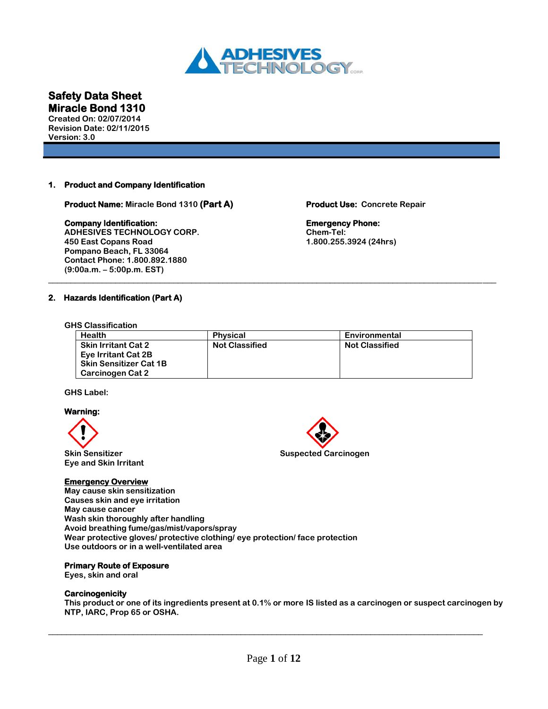

**Created On: 02/07/2014 Revision Date: 02/11/2015 Version: 3.0**

# **1. Product and Company Identification**

**Product Name: Miracle Bond 1310 (Part A) Product Use: Concrete Repair** 

# **Company Identification: Emergency Phone:**

**ADHESIVES TECHNOLOGY CORP. Chem-Tel: Pompano Beach, FL 33064 Contact Phone: 1.800.892.1880 (9:00a.m. – 5:00p.m. EST)** \_\_\_\_\_\_\_\_\_\_\_\_\_\_\_\_\_\_\_\_\_\_\_\_\_\_\_\_\_\_\_\_\_\_\_\_\_\_\_\_\_\_\_\_\_\_\_\_\_\_\_\_\_\_\_\_\_\_\_\_\_\_\_\_\_\_\_\_\_\_\_\_\_\_\_\_\_\_\_\_\_\_\_\_\_\_\_\_\_\_\_\_\_\_\_\_\_\_\_\_

**450 East Copans Road 1.800.255.3924 (24hrs)**

# **2. Hazards Identification (Part A)**

# **GHS Classification**

| <b>Health</b>                 | <b>Physical</b>       | Environmental         |
|-------------------------------|-----------------------|-----------------------|
| <b>Skin Irritant Cat 2</b>    | <b>Not Classified</b> | <b>Not Classified</b> |
| Eye Irritant Cat 2B           |                       |                       |
| <b>Skin Sensitizer Cat 1B</b> |                       |                       |
| Carcinogen Cat 2              |                       |                       |

# **GHS Label:**

# **Warning:**



**Eye and Skin Irritant** 

# **Emergency Overview**

**May cause skin sensitization Causes skin and eye irritation May cause cancer Wash skin thoroughly after handling Avoid breathing fume/gas/mist/vapors/spray Wear protective gloves/ protective clothing/ eye protection/ face protection Use outdoors or in a well-ventilated area**

# **Primary Route of Exposure**

**Eyes, skin and oral** 

# **Carcinogenicity**

**This product or one of its ingredients present at 0.1% or more IS listed as a carcinogen or suspect carcinogen by NTP, IARC, Prop 65 or OSHA.**



 $\Box$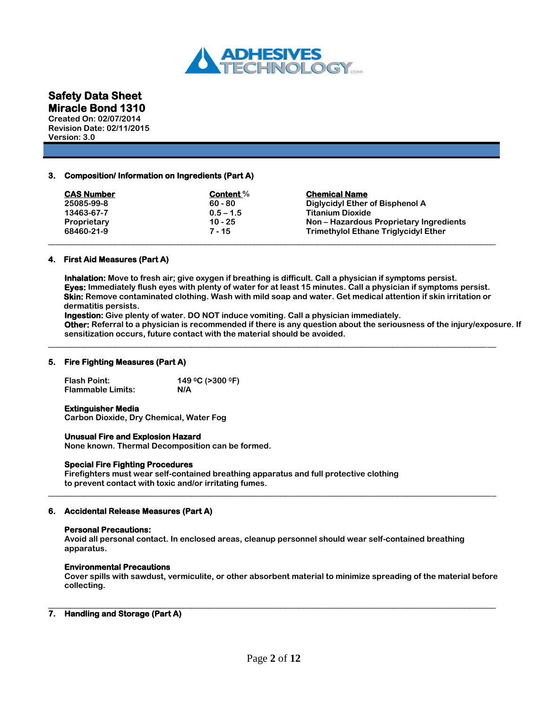

**Created On: 02/07/2014 Revision Date: 02/11/2015 Version: 3.0**

# **3. Composition/ Information on Ingredients (Part A)**

| <b>Content</b> %<br>$60 - 80$ | <b>Chemical Name</b><br>Diglycidyl Ether of Bisphenol A |
|-------------------------------|---------------------------------------------------------|
| $0.5 - 1.5$                   | <b>Titanium Dioxide</b>                                 |
| $10 - 25$                     | Non – Hazardous Proprietary Ingredients                 |
| 7 - 15                        | <b>Trimethylol Ethane Triglycidyl Ether</b>             |
|                               |                                                         |

# **4. First Aid Measures (Part A)**

**Inhalation: Move to fresh air; give oxygen if breathing is difficult. Call a physician if symptoms persist. Eyes: Immediately flush eyes with plenty of water for at least 15 minutes. Call a physician if symptoms persist. Skin: Remove contaminated clothing. Wash with mild soap and water. Get medical attention if skin irritation or dermatitis persists.**

\_\_\_\_\_\_\_\_\_\_\_\_\_\_\_\_\_\_\_\_\_\_\_\_\_\_\_\_\_\_\_\_\_\_\_\_\_\_\_\_\_\_\_\_\_\_\_\_\_\_\_\_\_\_\_\_\_\_\_\_\_\_\_\_\_\_\_\_\_\_\_\_\_\_\_\_\_\_\_\_\_\_\_\_\_\_\_\_\_\_\_\_\_\_\_\_\_\_\_\_

**Ingestion: Give plenty of water. DO NOT induce vomiting. Call a physician immediately.**

**Other: Referral to a physician is recommended if there is any question about the seriousness of the injury/exposure. If sensitization occurs, future contact with the material should be avoided.**

# **5. Fire Fighting Measures (Part A)**

**Flash Point: 149 0C (>300 0F) Flammable Limits: N/A**

### **Extinguisher Media**

**Carbon Dioxide, Dry Chemical, Water Fog**

# **Unusual Fire and Explosion Hazard**

**None known. Thermal Decomposition can be formed.**

# **Special Fire Fighting Procedures**

**Firefighters must wear self-contained breathing apparatus and full protective clothing to prevent contact with toxic and/or irritating fumes.** 

# **6. Accidental Release Measures (Part A)**

### **Personal Precautions:**

**Avoid all personal contact. In enclosed areas, cleanup personnel should wear self-contained breathing apparatus.** 

\_\_\_\_\_\_\_\_\_\_\_\_\_\_\_\_\_\_\_\_\_\_\_\_\_\_\_\_\_\_\_\_\_\_\_\_\_\_\_\_\_\_\_\_\_\_\_\_\_\_\_\_\_\_\_\_\_\_\_\_\_\_\_\_\_\_\_\_\_\_\_\_\_\_\_\_\_\_\_\_\_\_\_\_\_\_\_\_\_\_\_\_\_\_\_\_\_\_\_\_

### **Environmental Precautions**

**Cover spills with sawdust, vermiculite, or other absorbent material to minimize spreading of the material before collecting.** 

# **7. Handling and Storage (Part A)**

\_\_\_\_\_\_\_\_\_\_\_\_\_\_\_\_\_\_\_\_\_\_\_\_\_\_\_\_\_\_\_\_\_\_\_\_\_\_\_\_\_\_\_\_\_\_\_\_\_\_\_\_\_\_\_\_\_\_\_\_\_\_\_\_\_\_\_\_\_\_\_\_\_\_\_\_\_\_\_\_\_\_\_\_\_\_\_\_\_\_\_\_\_\_\_\_\_\_\_\_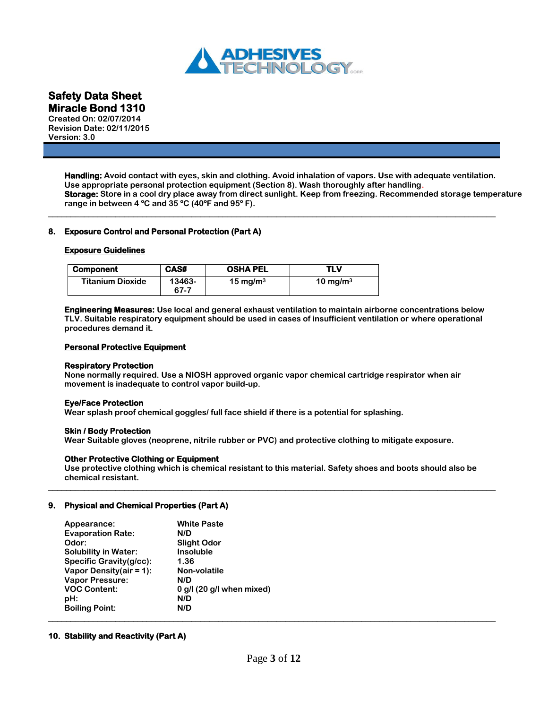

**Created On: 02/07/2014 Revision Date: 02/11/2015 Version: 3.0**

> **Handling: Avoid contact with eyes, skin and clothing. Avoid inhalation of vapors. Use with adequate ventilation. Use appropriate personal protection equipment (Section 8). Wash thoroughly after handling. Storage: Store in a cool dry place away from direct sunlight. Keep from freezing. Recommended storage temperature range in between 4 ºC and 35 ºC (40ºF and 95º F).**

# **8. Exposure Control and Personal Protection (Part A)**

### **Exposure Guidelines**

| <b>Component</b>        | CAS#           | <b>OSHA PEL</b>     | TLV         |
|-------------------------|----------------|---------------------|-------------|
| <b>Titanium Dioxide</b> | 13463-<br>67-7 | $15 \text{ mg/m}^3$ | 10 mg/m $3$ |

**Engineering Measures: Use local and general exhaust ventilation to maintain airborne concentrations below TLV. Suitable respiratory equipment should be used in cases of insufficient ventilation or where operational procedures demand it.**

\_\_\_\_\_\_\_\_\_\_\_\_\_\_\_\_\_\_\_\_\_\_\_\_\_\_\_\_\_\_\_\_\_\_\_\_\_\_\_\_\_\_\_\_\_\_\_\_\_\_\_\_\_\_\_\_\_\_\_\_\_\_\_\_\_\_\_\_\_\_\_\_\_\_\_\_\_\_\_\_\_\_\_\_\_\_\_\_\_\_\_\_\_\_\_\_\_\_\_\_

### **Personal Protective Equipment**

### **Respiratory Protection**

**None normally required. Use a NIOSH approved organic vapor chemical cartridge respirator when air movement is inadequate to control vapor build-up.**

# **Eye/Face Protection**

**Wear splash proof chemical goggles/ full face shield if there is a potential for splashing.**

### **Skin / Body Protection**

**Wear Suitable gloves (neoprene, nitrile rubber or PVC) and protective clothing to mitigate exposure.**

# **Other Protective Clothing or Equipment**

**Use protective clothing which is chemical resistant to this material. Safety shoes and boots should also be chemical resistant.**  \_\_\_\_\_\_\_\_\_\_\_\_\_\_\_\_\_\_\_\_\_\_\_\_\_\_\_\_\_\_\_\_\_\_\_\_\_\_\_\_\_\_\_\_\_\_\_\_\_\_\_\_\_\_\_\_\_\_\_\_\_\_\_\_\_\_\_\_\_\_\_\_\_\_\_\_\_\_\_\_\_\_\_\_\_\_\_\_\_\_\_\_\_\_\_\_\_\_\_\_

### **9. Physical and Chemical Properties (Part A)**

| Appearance:                 | <b>White Paste</b>          |
|-----------------------------|-----------------------------|
| <b>Evaporation Rate:</b>    | N/D                         |
| Odor:                       | <b>Slight Odor</b>          |
| <b>Solubility in Water:</b> | <b>Insoluble</b>            |
| Specific Gravity(g/cc):     | 1.36                        |
| Vapor Density(air = 1):     | Non-volatile                |
| <b>Vapor Pressure:</b>      | N/D                         |
| <b>VOC Content:</b>         | $0$ g/l (20 g/l when mixed) |
| pH:                         | N/D                         |
| <b>Boiling Point:</b>       | N/D                         |

# **10. Stability and Reactivity (Part A)**

\_\_\_\_\_\_\_\_\_\_\_\_\_\_\_\_\_\_\_\_\_\_\_\_\_\_\_\_\_\_\_\_\_\_\_\_\_\_\_\_\_\_\_\_\_\_\_\_\_\_\_\_\_\_\_\_\_\_\_\_\_\_\_\_\_\_\_\_\_\_\_\_\_\_\_\_\_\_\_\_\_\_\_\_\_\_\_\_\_\_\_\_\_\_\_\_\_\_\_\_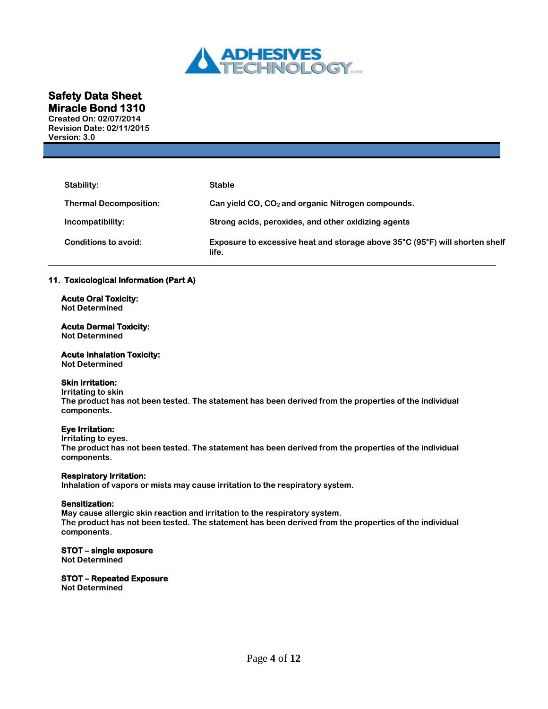

**Created On: 02/07/2014 Revision Date: 02/11/2015 Version: 3.0**

| Stability:                    | <b>Stable</b>                                                                        |
|-------------------------------|--------------------------------------------------------------------------------------|
| <b>Thermal Decomposition:</b> | Can yield $CO$ , $CO2$ and organic Nitrogen compounds.                               |
| Incompatibility:              | Strong acids, peroxides, and other oxidizing agents                                  |
| Conditions to avoid:          | Exposure to excessive heat and storage above 35°C (95°F) will shorten shelf<br>life. |

# **11. Toxicological Information (Part A)**

**Acute Oral Toxicity: Not Determined**

### **Acute Dermal Toxicity: Not Determined**

**Acute Inhalation Toxicity: Not Determined**

# **Skin Irritation:**

# **Irritating to skin**

**The product has not been tested. The statement has been derived from the properties of the individual components.**

# **Eye Irritation:**

**Irritating to eyes.** 

**The product has not been tested. The statement has been derived from the properties of the individual components.**

# **Respiratory Irritation:**

**Inhalation of vapors or mists may cause irritation to the respiratory system.** 

# **Sensitization:**

**May cause allergic skin reaction and irritation to the respiratory system. The product has not been tested. The statement has been derived from the properties of the individual components.**

# **STOT – single exposure**

**Not Determined**

# **STOT – Repeated Exposure**

**Not Determined**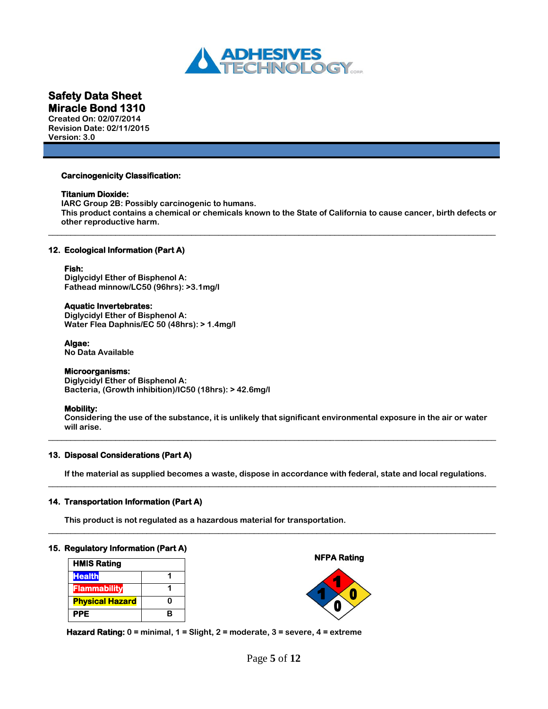

**Created On: 02/07/2014 Revision Date: 02/11/2015 Version: 3.0**

### **Carcinogenicity Classification:**

### **Titanium Dioxide:**

**IARC Group 2B: Possibly carcinogenic to humans. This product contains a chemical or chemicals known to the State of California to cause cancer, birth defects or other reproductive harm.**

\_\_\_\_\_\_\_\_\_\_\_\_\_\_\_\_\_\_\_\_\_\_\_\_\_\_\_\_\_\_\_\_\_\_\_\_\_\_\_\_\_\_\_\_\_\_\_\_\_\_\_\_\_\_\_\_\_\_\_\_\_\_\_\_\_\_\_\_\_\_\_\_\_\_\_\_\_\_\_\_\_\_\_\_\_\_\_\_\_\_\_\_\_\_\_\_\_\_\_\_

# **12. Ecological Information (Part A)**

# **Fish:**

**Diglycidyl Ether of Bisphenol A: Fathead minnow/LC50 (96hrs): >3.1mg/l**

# **Aquatic Invertebrates:**

**Diglycidyl Ether of Bisphenol A: Water Flea Daphnis/EC 50 (48hrs): > 1.4mg/l**

### **Algae:**

**No Data Available** 

# **Microorganisms:**

**Diglycidyl Ether of Bisphenol A: Bacteria, (Growth inhibition)/IC50 (18hrs): > 42.6mg/l**

# **Mobility:**

**Considering the use of the substance, it is unlikely that significant environmental exposure in the air or water will arise.**  \_\_\_\_\_\_\_\_\_\_\_\_\_\_\_\_\_\_\_\_\_\_\_\_\_\_\_\_\_\_\_\_\_\_\_\_\_\_\_\_\_\_\_\_\_\_\_\_\_\_\_\_\_\_\_\_\_\_\_\_\_\_\_\_\_\_\_\_\_\_\_\_\_\_\_\_\_\_\_\_\_\_\_\_\_\_\_\_\_\_\_\_\_\_\_\_\_\_\_\_

# **13. Disposal Considerations (Part A)**

**If the material as supplied becomes a waste, dispose in accordance with federal, state and local regulations.**  \_\_\_\_\_\_\_\_\_\_\_\_\_\_\_\_\_\_\_\_\_\_\_\_\_\_\_\_\_\_\_\_\_\_\_\_\_\_\_\_\_\_\_\_\_\_\_\_\_\_\_\_\_\_\_\_\_\_\_\_\_\_\_\_\_\_\_\_\_\_\_\_\_\_\_\_\_\_\_\_\_\_\_\_\_\_\_\_\_\_\_\_\_\_\_\_\_\_\_\_

\_\_\_\_\_\_\_\_\_\_\_\_\_\_\_\_\_\_\_\_\_\_\_\_\_\_\_\_\_\_\_\_\_\_\_\_\_\_\_\_\_\_\_\_\_\_\_\_\_\_\_\_\_\_\_\_\_\_\_\_\_\_\_\_\_\_\_\_\_\_\_\_\_\_\_\_\_\_\_\_\_\_\_\_\_\_\_\_\_\_\_\_\_\_\_\_\_\_\_\_

# **14. Transportation Information (Part A)**

**This product is not regulated as a hazardous material for transportation.**

### **15. Regulatory Information (Part A)**

| <b>HMIS Rating</b>     |   |
|------------------------|---|
| <b>Health</b>          |   |
| Flammability           |   |
| <b>Physical Hazard</b> | n |
| PPE                    | R |

 **NFPA Rating** 



 **Hazard Rating: 0 = minimal, 1 = Slight, 2 = moderate, 3 = severe, 4 = extreme**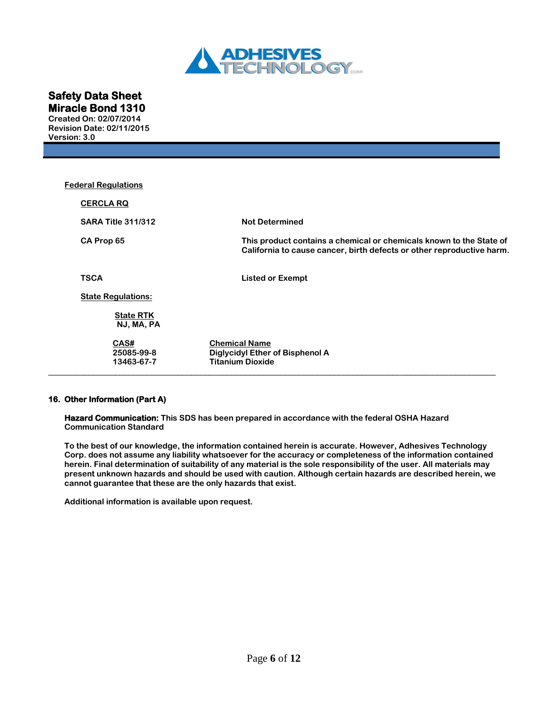

**Created On: 02/07/2014 Revision Date: 02/11/2015 Version: 3.0**

| <b>Federal Regulations</b>       |                                                                                                                                              |
|----------------------------------|----------------------------------------------------------------------------------------------------------------------------------------------|
| <b>CERCLA RQ</b>                 |                                                                                                                                              |
| <b>SARA Title 311/312</b>        | <b>Not Determined</b>                                                                                                                        |
| CA Prop 65                       | This product contains a chemical or chemicals known to the State of<br>California to cause cancer, birth defects or other reproductive harm. |
| TSCA                             | <b>Listed or Exempt</b>                                                                                                                      |
| <b>State Regulations:</b>        |                                                                                                                                              |
| <b>State RTK</b><br>NJ, MA, PA   |                                                                                                                                              |
| CAS#<br>25085-99-8<br>13463-67-7 | <b>Chemical Name</b><br>Diglycidyl Ether of Bisphenol A<br><b>Titanium Dioxide</b>                                                           |

# **16. Other Information (Part A)**

**Hazard Communication: This SDS has been prepared in accordance with the federal OSHA Hazard Communication Standard** 

**To the best of our knowledge, the information contained herein is accurate. However, Adhesives Technology Corp. does not assume any liability whatsoever for the accuracy or completeness of the information contained herein. Final determination of suitability of any material is the sole responsibility of the user. All materials may present unknown hazards and should be used with caution. Although certain hazards are described herein, we cannot guarantee that these are the only hazards that exist.**

**Additional information is available upon request.**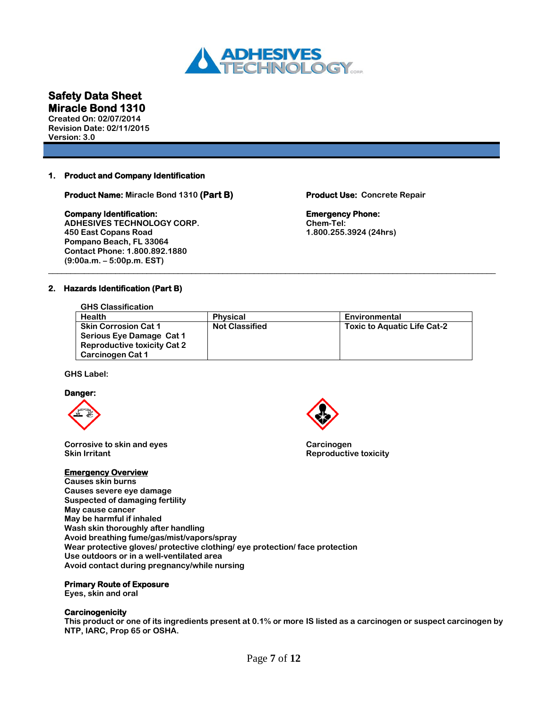

**Created On: 02/07/2014 Revision Date: 02/11/2015 Version: 3.0**

# **1. Product and Company Identification**

**Product Name: Miracle Bond 1310 (Part B) Product Use: Concrete Repair** 

### **Company Identification: Emergency Phone: Emergency Phone:**

**ADHESIVES TECHNOLOGY CORP. Chem-Tel: Pompano Beach, FL 33064 Contact Phone: 1.800.892.1880 (9:00a.m. – 5:00p.m. EST)**

**450 East Copans Road 1.800.255.3924 (24hrs)**

# **2. Hazards Identification (Part B)**

 **GHS Classification**

| <b>Health</b>                                                                                                     | <b>Physical</b>       | Environmental                      |
|-------------------------------------------------------------------------------------------------------------------|-----------------------|------------------------------------|
| <b>Skin Corrosion Cat 1</b><br>Serious Eye Damage Cat 1<br><b>Reproductive toxicity Cat 2</b><br>Carcinogen Cat 1 | <b>Not Classified</b> | <b>Toxic to Aquatic Life Cat-2</b> |

\_\_\_\_\_\_\_\_\_\_\_\_\_\_\_\_\_\_\_\_\_\_\_\_\_\_\_\_\_\_\_\_\_\_\_\_\_\_\_\_\_\_\_\_\_\_\_\_\_\_\_\_\_\_\_\_\_\_\_\_\_\_\_\_\_\_\_\_\_\_\_\_\_\_\_\_\_\_\_\_\_\_\_\_\_\_\_\_\_\_\_\_\_\_\_\_\_\_\_\_

**GHS Label:**

### **Danger:**



**Corrosive to skin and eyes Carcinogen** Carcinogen **Skin Irritant Reproductive toxicity**

# **Emergency Overview**

**Causes skin burns Causes severe eye damage Suspected of damaging fertility May cause cancer May be harmful if inhaled Wash skin thoroughly after handling Avoid breathing fume/gas/mist/vapors/spray Wear protective gloves/ protective clothing/ eye protection/ face protection Use outdoors or in a well-ventilated area Avoid contact during pregnancy/while nursing**

### **Primary Route of Exposure**

**Eyes, skin and oral** 

### **Carcinogenicity**

**This product or one of its ingredients present at 0.1% or more IS listed as a carcinogen or suspect carcinogen by NTP, IARC, Prop 65 or OSHA.** 

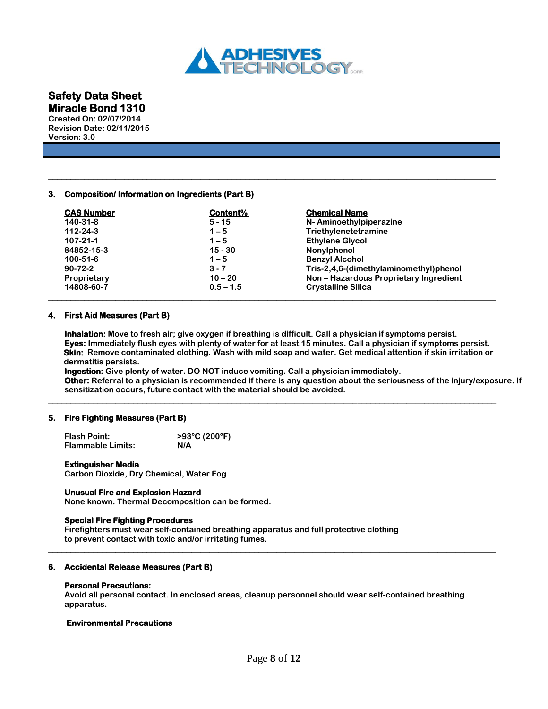

**Revision Date: 02/11/2015 Version: 3.0**

# **3. Composition/ Information on Ingredients (Part B)**

| <b>CAS Number</b> | Content%    | <b>Chemical Name</b>                   |
|-------------------|-------------|----------------------------------------|
| 140-31-8          | $5 - 15$    | N-Aminoethylpiperazine                 |
| $112 - 24 - 3$    | $1 - 5$     | Triethylenetetramine                   |
| 107-21-1          | $1 - 5$     | <b>Ethylene Glycol</b>                 |
| 84852-15-3        | $15 - 30$   | Nonylphenol                            |
| 100-51-6          | $1 - 5$     | <b>Benzyl Alcohol</b>                  |
| $90 - 72 - 2$     | $3 - 7$     | Tris-2,4,6-(dimethylaminomethyl)phenol |
| Proprietary       | $10 - 20$   | Non-Hazardous Proprietary Ingredient   |
| 14808-60-7        | $0.5 - 1.5$ | <b>Crystalline Silica</b>              |

\_\_\_\_\_\_\_\_\_\_\_\_\_\_\_\_\_\_\_\_\_\_\_\_\_\_\_\_\_\_\_\_\_\_\_\_\_\_\_\_\_\_\_\_\_\_\_\_\_\_\_\_\_\_\_\_\_\_\_\_\_\_\_\_\_\_\_\_\_\_\_\_\_\_\_\_\_\_\_\_\_\_\_\_\_\_\_\_\_\_\_\_\_\_\_\_\_\_\_\_

# **4. First Aid Measures (Part B)**

**Inhalation: Move to fresh air; give oxygen if breathing is difficult. Call a physician if symptoms persist. Eyes: Immediately flush eyes with plenty of water for at least 15 minutes. Call a physician if symptoms persist. Skin: Remove contaminated clothing. Wash with mild soap and water. Get medical attention if skin irritation or dermatitis persists.**

\_\_\_\_\_\_\_\_\_\_\_\_\_\_\_\_\_\_\_\_\_\_\_\_\_\_\_\_\_\_\_\_\_\_\_\_\_\_\_\_\_\_\_\_\_\_\_\_\_\_\_\_\_\_\_\_\_\_\_\_\_\_\_\_\_\_\_\_\_\_\_\_\_\_\_\_\_\_\_\_\_\_\_\_\_\_\_\_\_\_\_\_\_\_\_\_\_\_\_\_

**Ingestion: Give plenty of water. DO NOT induce vomiting. Call a physician immediately. Other: Referral to a physician is recommended if there is any question about the seriousness of the injury/exposure. If sensitization occurs, future contact with the material should be avoided.** 

### **5. Fire Fighting Measures (Part B)**

| <b>Flash Point:</b>      | >93°C (200°F) |
|--------------------------|---------------|
| <b>Flammable Limits:</b> | N/A           |

### **Extinguisher Media**

**Carbon Dioxide, Dry Chemical, Water Fog**

# **Unusual Fire and Explosion Hazard**

**None known. Thermal Decomposition can be formed.**

### **Special Fire Fighting Procedures**

**Firefighters must wear self-contained breathing apparatus and full protective clothing to prevent contact with toxic and/or irritating fumes.** 

### **6. Accidental Release Measures (Part B)**

### **Personal Precautions:**

**Avoid all personal contact. In enclosed areas, cleanup personnel should wear self-contained breathing apparatus.** 

\_\_\_\_\_\_\_\_\_\_\_\_\_\_\_\_\_\_\_\_\_\_\_\_\_\_\_\_\_\_\_\_\_\_\_\_\_\_\_\_\_\_\_\_\_\_\_\_\_\_\_\_\_\_\_\_\_\_\_\_\_\_\_\_\_\_\_\_\_\_\_\_\_\_\_\_\_\_\_\_\_\_\_\_\_\_\_\_\_\_\_\_\_\_\_\_\_\_\_\_

### **Environmental Precautions**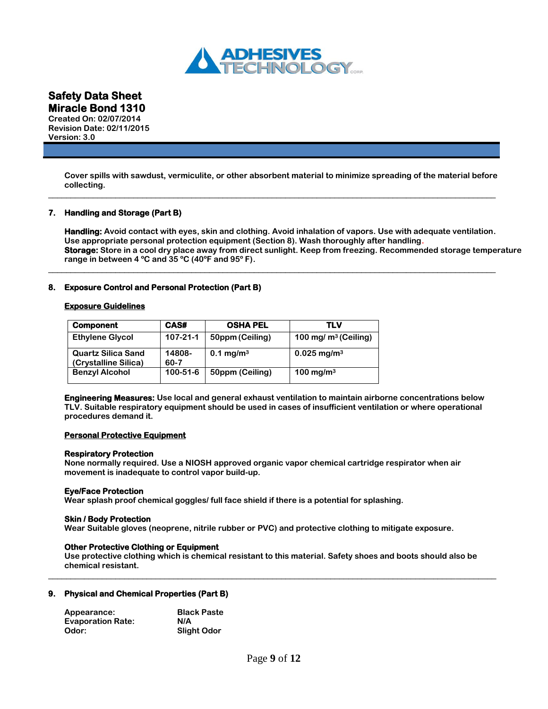

**Created On: 02/07/2014 Revision Date: 02/11/2015 Version: 3.0**

> **Cover spills with sawdust, vermiculite, or other absorbent material to minimize spreading of the material before collecting.**

\_\_\_\_\_\_\_\_\_\_\_\_\_\_\_\_\_\_\_\_\_\_\_\_\_\_\_\_\_\_\_\_\_\_\_\_\_\_\_\_\_\_\_\_\_\_\_\_\_\_\_\_\_\_\_\_\_\_\_\_\_\_\_\_\_\_\_\_\_\_\_\_\_\_\_\_\_\_\_\_\_\_\_\_\_\_\_\_\_\_\_\_\_\_\_\_\_\_\_\_

\_\_\_\_\_\_\_\_\_\_\_\_\_\_\_\_\_\_\_\_\_\_\_\_\_\_\_\_\_\_\_\_\_\_\_\_\_\_\_\_\_\_\_\_\_\_\_\_\_\_\_\_\_\_\_\_\_\_\_\_\_\_\_\_\_\_\_\_\_\_\_\_\_\_\_\_\_\_\_\_\_\_\_\_\_\_\_\_\_\_\_\_\_\_\_\_\_\_\_\_

# **7. Handling and Storage (Part B)**

**Handling: Avoid contact with eyes, skin and clothing. Avoid inhalation of vapors. Use with adequate ventilation. Use appropriate personal protection equipment (Section 8). Wash thoroughly after handling. Storage: Store in a cool dry place away from direct sunlight. Keep from freezing. Recommended storage temperature range in between 4 ºC and 35 ºC (40ºF and 95º F).** 

# **8. Exposure Control and Personal Protection (Part B)**

# **Exposure Guidelines**

| <b>Component</b>                                  | CAS#           | <b>OSHA PEL</b>       | TLV                       |
|---------------------------------------------------|----------------|-----------------------|---------------------------|
| <b>Ethylene Glycol</b>                            | $107 - 21 - 1$ | 50ppm (Ceiling)       | 100 mg/ $m^3$ (Ceiling)   |
| <b>Quartz Silica Sand</b><br>(Crystalline Silica) | 14808-<br>60-7 | 0.1 mg/m <sup>3</sup> | $0.025 \,\mathrm{mg/m^3}$ |
| <b>Benzyl Alcohol</b>                             | $100 - 51 - 6$ | 50ppm (Ceiling)       | 100 mg/m $3$              |

**Engineering Measures: Use local and general exhaust ventilation to maintain airborne concentrations below TLV. Suitable respiratory equipment should be used in cases of insufficient ventilation or where operational procedures demand it.**

# **Personal Protective Equipment**

# **Respiratory Protection**

**None normally required. Use a NIOSH approved organic vapor chemical cartridge respirator when air movement is inadequate to control vapor build-up.**

# **Eye/Face Protection**

**Wear splash proof chemical goggles/ full face shield if there is a potential for splashing.**

### **Skin / Body Protection**

**Wear Suitable gloves (neoprene, nitrile rubber or PVC) and protective clothing to mitigate exposure.**

# **Other Protective Clothing or Equipment**

**Use protective clothing which is chemical resistant to this material. Safety shoes and boots should also be chemical resistant.** \_\_\_\_\_\_\_\_\_\_\_\_\_\_\_\_\_\_\_\_\_\_\_\_\_\_\_\_\_\_\_\_\_\_\_\_\_\_\_\_\_\_\_\_\_\_\_\_\_\_\_\_\_\_\_\_\_\_\_\_\_\_\_\_\_\_\_\_\_\_\_\_\_\_\_\_\_\_\_\_\_\_\_\_\_\_\_\_\_\_\_\_\_\_\_\_\_\_\_\_

# **9. Physical and Chemical Properties (Part B)**

| Appearance:              | <b>Black Paste</b> |
|--------------------------|--------------------|
| <b>Evaporation Rate:</b> | N/A                |
| Odor:                    | <b>Slight Odor</b> |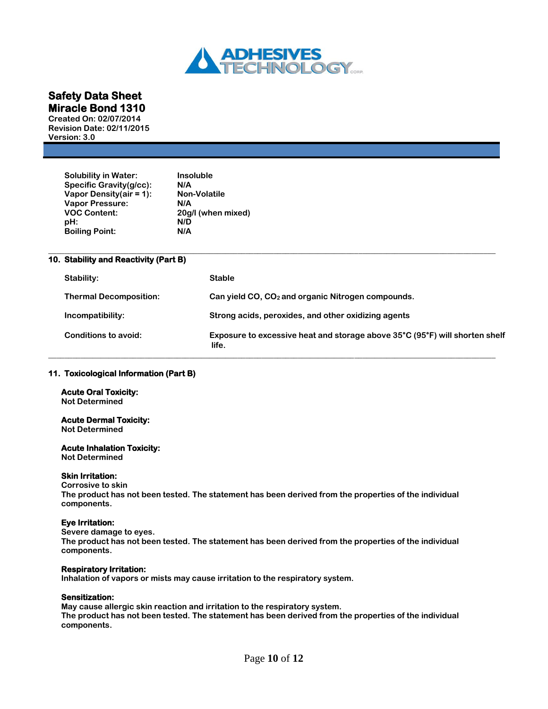

**Created On: 02/07/2014 Revision Date: 02/11/2015 Version: 3.0**

| <b>Solubility in Water:</b> | <b>Insoluble</b>    |
|-----------------------------|---------------------|
| Specific Gravity(g/cc):     | N/A                 |
| Vapor Density(air = $1$ ):  | <b>Non-Volatile</b> |
| <b>Vapor Pressure:</b>      | N/A                 |
| <b>VOC Content:</b>         | 20g/l (when mixed)  |
| pH:                         | N/D                 |
| <b>Boiling Point:</b>       | N/A                 |
|                             |                     |

# **10. Stability and Reactivity (Part B)**

| Stability:                    | <b>Stable</b>                                                                        |
|-------------------------------|--------------------------------------------------------------------------------------|
| <b>Thermal Decomposition:</b> | Can yield $CO$ , $CO2$ and organic Nitrogen compounds.                               |
| Incompatibility:              | Strong acids, peroxides, and other oxidizing agents                                  |
| Conditions to avoid:          | Exposure to excessive heat and storage above 35°C (95°F) will shorten shelf<br>life. |

**\_\_\_\_\_\_\_\_\_\_\_\_\_\_\_\_\_\_\_\_\_\_\_\_\_\_\_\_\_\_\_\_\_\_\_\_\_\_\_\_\_\_\_\_\_\_\_\_\_\_\_\_\_\_\_\_\_\_\_\_\_\_\_\_\_\_\_\_\_\_\_\_\_\_\_\_\_\_\_\_\_\_\_\_\_\_\_\_\_\_\_\_\_\_\_\_\_\_\_\_\_\_\_\_\_\_\_\_\_\_\_**

# **11. Toxicological Information (Part B)**

# **Acute Oral Toxicity:**

**Not Determined**

# **Acute Dermal Toxicity:**

**Not Determined**

# **Acute Inhalation Toxicity:**

**Not Determined**

# **Skin Irritation:**

**Corrosive to skin The product has not been tested. The statement has been derived from the properties of the individual components.**

# **Eye Irritation:**

**Severe damage to eyes. The product has not been tested. The statement has been derived from the properties of the individual components.**

# **Respiratory Irritation:**

**Inhalation of vapors or mists may cause irritation to the respiratory system.** 

# **Sensitization:**

**May cause allergic skin reaction and irritation to the respiratory system. The product has not been tested. The statement has been derived from the properties of the individual components.**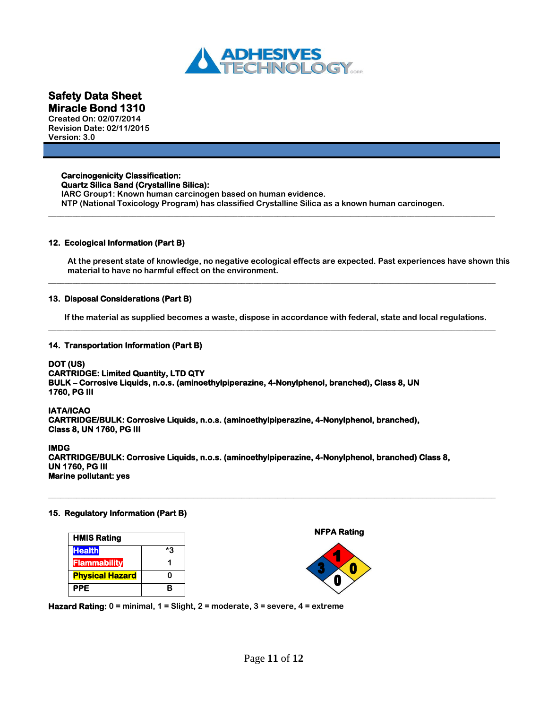

**Created On: 02/07/2014 Revision Date: 02/11/2015 Version: 3.0**

# **Carcinogenicity Classification: Quartz Silica Sand (Crystalline Silica):**

**IARC Group1: Known human carcinogen based on human evidence. NTP (National Toxicology Program) has classified Crystalline Silica as a known human carcinogen.** 

**\_\_\_\_\_\_\_\_\_\_\_\_\_\_\_\_\_\_\_\_\_\_\_\_\_\_\_\_\_\_\_\_\_\_\_\_\_\_\_\_\_\_\_\_\_\_\_\_\_\_\_\_\_\_\_\_\_\_\_\_\_\_\_\_\_\_\_\_\_\_\_\_\_\_\_\_\_\_\_\_\_\_\_\_\_\_\_\_\_\_\_\_\_\_\_\_\_\_\_\_\_\_\_\_\_\_\_\_\_\_\_**

# **12. Ecological Information (Part B)**

**At the present state of knowledge, no negative ecological effects are expected. Past experiences have shown this material to have no harmful effect on the environment.**

# **13. Disposal Considerations (Part B)**

**If the material as supplied becomes a waste, dispose in accordance with federal, state and local regulations. \_\_\_\_\_\_\_\_\_\_\_\_\_\_\_\_\_\_\_\_\_\_\_\_\_\_\_\_\_\_\_\_\_\_\_\_\_\_\_\_\_\_\_\_\_\_\_\_\_\_\_\_\_\_\_\_\_\_\_\_\_\_\_\_\_\_\_\_\_\_\_\_\_\_\_\_\_\_\_\_\_\_\_\_\_\_\_\_\_\_\_\_\_\_\_\_\_\_\_\_\_\_\_\_\_\_\_\_\_\_\_**

**\_\_\_\_\_\_\_\_\_\_\_\_\_\_\_\_\_\_\_\_\_\_\_\_\_\_\_\_\_\_\_\_\_\_\_\_\_\_\_\_\_\_\_\_\_\_\_\_\_\_\_\_\_\_\_\_\_\_\_\_\_\_\_\_\_\_\_\_\_\_\_\_\_\_\_\_\_\_\_\_\_\_\_\_\_\_\_\_\_\_\_\_\_\_\_\_\_\_\_\_\_\_\_\_\_\_\_\_\_\_\_**

# **14. Transportation Information (Part B)**

# **DOT (US)**

**CARTRIDGE: Limited Quantity, LTD QTY BULK – Corrosive Liquids, n.o.s. (aminoethylpiperazine, 4-Nonylphenol, branched), Class 8, UN 1760, PG III** 

### **IATA/ICAO**

**CARTRIDGE/BULK: Corrosive Liquids, n.o.s. (aminoethylpiperazine, 4-Nonylphenol, branched), Class 8, UN 1760, PG III** 

### **IMDG**

**CARTRIDGE/BULK: Corrosive Liquids, n.o.s. (aminoethylpiperazine, 4-Nonylphenol, branched) Class 8, UN 1760, PG III Marine pollutant: yes** 

**\_\_\_\_\_\_\_\_\_\_\_\_\_\_\_\_\_\_\_\_\_\_\_\_\_\_\_\_\_\_\_\_\_\_\_\_\_\_\_\_\_\_\_\_\_\_\_\_\_\_\_\_\_\_\_\_\_\_\_\_\_\_\_\_\_\_\_\_\_\_\_\_\_\_\_\_\_\_\_\_\_\_\_\_\_\_\_\_\_\_\_\_\_\_\_\_\_\_\_\_\_\_\_\_\_\_\_\_\_\_\_**

# **15. Regulatory Information (Part B)**



 **NFPA Rating** 



**Hazard Rating: 0 = minimal, 1 = Slight, 2 = moderate, 3 = severe, 4 = extreme**